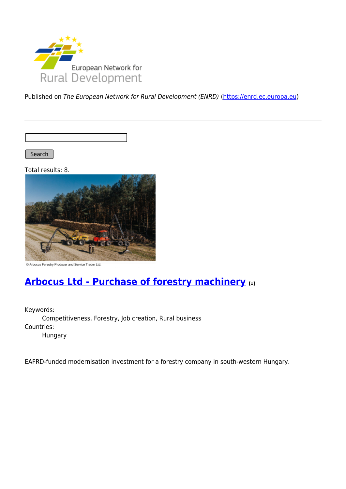

Published on The European Network for Rural Development (ENRD) [\(https://enrd.ec.europa.eu](https://enrd.ec.europa.eu))

Search

Total results: 8.



C Arbocus Forestry Producer and Service Trader Ltd.

#### **[Arbocus Ltd - Purchase of forestry machinery](https://enrd.ec.europa.eu/projects-practice/arbocus-ltd-purchase-forestry-machinery_en) [1]**

Keywords: Competitiveness, Forestry, Job creation, Rural business Countries:

Hungary

EAFRD-funded modernisation investment for a forestry company in south-western Hungary.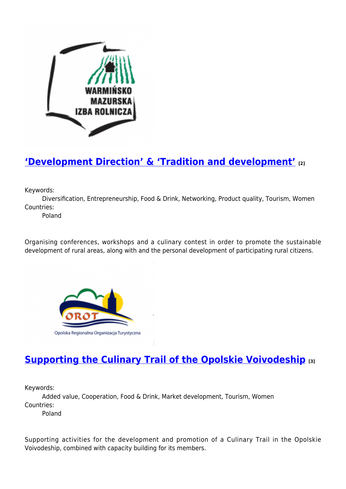

### **['Development Direction' & 'Tradition and development'](https://enrd.ec.europa.eu/projects-practice/development-direction-tradition-and-development_en) [2]**

Keywords:

Diversification, Entrepreneurship, Food & Drink, Networking, Product quality, Tourism, Women Countries:

Poland

Organising conferences, workshops and a culinary contest in order to promote the sustainable development of rural areas, along with and the personal development of participating rural citizens.



## **[Supporting the Culinary Trail of the Opolskie Voivodeship](https://enrd.ec.europa.eu/projects-practice/supporting-culinary-trail-opolskie-voivodeship_en) [3]**

Keywords:

Added value, Cooperation, Food & Drink, Market development, Tourism, Women Countries:

Poland

Supporting activities for the development and promotion of a Culinary Trail in the Opolskie Voivodeship, combined with capacity building for its members.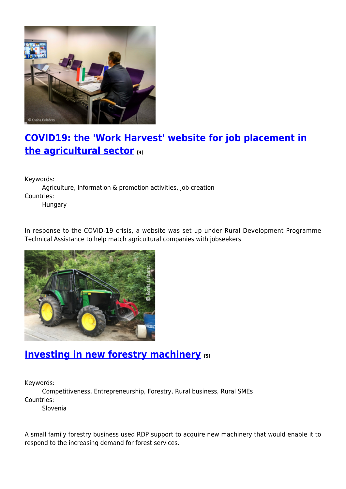

## **[COVID19: the 'Work Harvest' website for job placement in](https://enrd.ec.europa.eu/projects-practice/covid19-work-harvest-website-job-placement-agricultural-sector_en) [the agricultural sector](https://enrd.ec.europa.eu/projects-practice/covid19-work-harvest-website-job-placement-agricultural-sector_en) [4]**

Keywords:

Agriculture, Information & promotion activities, Job creation Countries:

Hungary

In response to the COVID-19 crisis, a website was set up under Rural Development Programme Technical Assistance to help match agricultural companies with jobseekers



#### **[Investing in new forestry machinery](https://enrd.ec.europa.eu/projects-practice/investing-new-forestry-machinery_en) [5]**

Keywords:

Competitiveness, Entrepreneurship, Forestry, Rural business, Rural SMEs Countries:

Slovenia

A small family forestry business used RDP support to acquire new machinery that would enable it to respond to the increasing demand for forest services.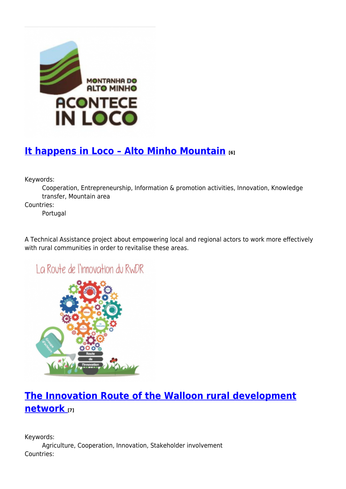

# **[It happens in Loco – Alto Minho Mountain](https://enrd.ec.europa.eu/projects-practice/it-happens-loco-alto-minho-mountain_en) [6]**

Keywords:

Cooperation, Entrepreneurship, Information & promotion activities, Innovation, Knowledge transfer, Mountain area

Countries:

Portugal

A Technical Assistance project about empowering local and regional actors to work more effectively with rural communities in order to revitalise these areas.

La Route de l'innovation du RWDR



## **[The Innovation Route of the Walloon rural development](https://enrd.ec.europa.eu/projects-practice/innovation-route-walloon-rural-development-network_en) [network](https://enrd.ec.europa.eu/projects-practice/innovation-route-walloon-rural-development-network_en) [7]**

Keywords: Agriculture, Cooperation, Innovation, Stakeholder involvement Countries: